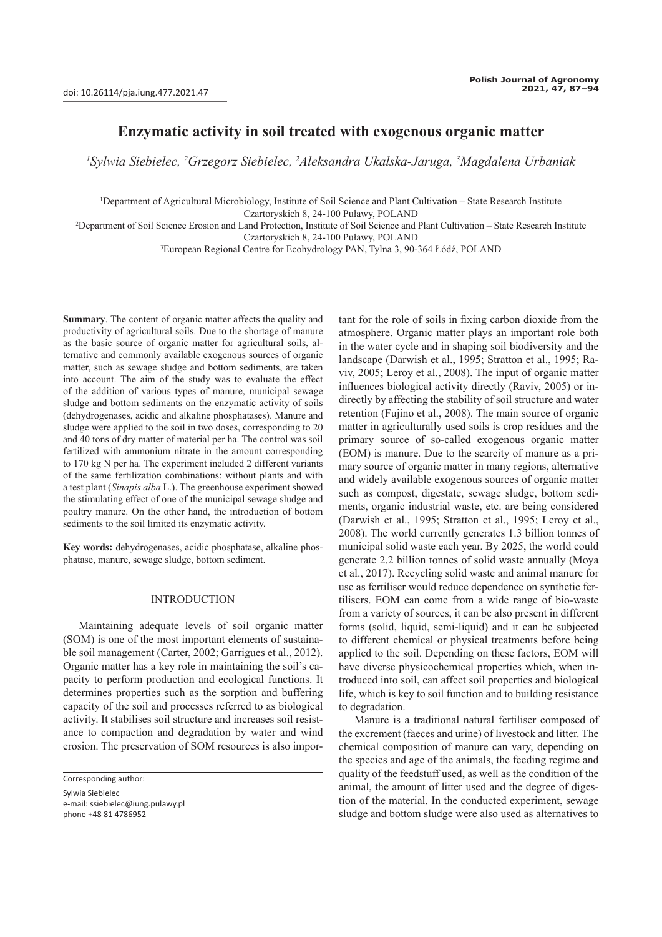# **Enzymatic activity in soil treated with exogenous organic matter**

*1 Sylwia Siebielec, 2 Grzegorz Siebielec, 2 Aleksandra Ukalska-Jaruga, 3 Magdalena Urbaniak*

1 Department of Agricultural Microbiology, Institute of Soil Science and Plant Cultivation – State Research Institute Czartoryskich 8, 24-100 Puławy, POLAND

2 Department of Soil Science Erosion and Land Protection, Institute of Soil Science and Plant Cultivation – State Research Institute Czartoryskich 8, 24-100 Puławy, POLAND

3 European Regional Centre for Ecohydrology PAN, Tylna 3, 90-364 Łódź, POLAND

**Summary**. The content of organic matter affects the quality and productivity of agricultural soils. Due to the shortage of manure as the basic source of organic matter for agricultural soils, alternative and commonly available exogenous sources of organic matter, such as sewage sludge and bottom sediments, are taken into account. The aim of the study was to evaluate the effect of the addition of various types of manure, municipal sewage sludge and bottom sediments on the enzymatic activity of soils (dehydrogenases, acidic and alkaline phosphatases). Manure and sludge were applied to the soil in two doses, corresponding to 20 and 40 tons of dry matter of material per ha. The control was soil fertilized with ammonium nitrate in the amount corresponding to 170 kg N per ha. The experiment included 2 different variants of the same fertilization combinations: without plants and with a test plant (*Sinapis alba* L.). The greenhouse experiment showed the stimulating effect of one of the municipal sewage sludge and poultry manure. On the other hand, the introduction of bottom sediments to the soil limited its enzymatic activity.

**Key words:** dehydrogenases, acidic phosphatase, alkaline phosphatase, manure, sewage sludge, bottom sediment.

## INTRODUCTION

Maintaining adequate levels of soil organic matter (SOM) is one of the most important elements of sustainable soil management (Carter, 2002; Garrigues et al., 2012). Organic matter has a key role in maintaining the soil's capacity to perform production and ecological functions. It determines properties such as the sorption and buffering capacity of the soil and processes referred to as biological activity. It stabilises soil structure and increases soil resistance to compaction and degradation by water and wind erosion. The preservation of SOM resources is also impor-

Sylwia Siebielec e-mail: ssiebielec@iung.pulawy.pl phone +48 81 4786952

tant for the role of soils in fixing carbon dioxide from the atmosphere. Organic matter plays an important role both in the water cycle and in shaping soil biodiversity and the landscape (Darwish et al., 1995; Stratton et al., 1995; Raviv, 2005; Leroy et al., 2008). The input of organic matter influences biological activity directly (Raviv, 2005) or indirectly by affecting the stability of soil structure and water retention (Fujino et al., 2008). The main source of organic matter in agriculturally used soils is crop residues and the primary source of so-called exogenous organic matter (EOM) is manure. Due to the scarcity of manure as a primary source of organic matter in many regions, alternative and widely available exogenous sources of organic matter such as compost, digestate, sewage sludge, bottom sediments, organic industrial waste, etc. are being considered (Darwish et al., 1995; Stratton et al., 1995; Leroy et al., 2008). The world currently generates 1.3 billion tonnes of municipal solid waste each year. By 2025, the world could generate 2.2 billion tonnes of solid waste annually (Moya et al., 2017). Recycling solid waste and animal manure for use as fertiliser would reduce dependence on synthetic fertilisers. EOM can come from a wide range of bio-waste from a variety of sources, it can be also present in different forms (solid, liquid, semi-liquid) and it can be subjected to different chemical or physical treatments before being applied to the soil. Depending on these factors, EOM will have diverse physicochemical properties which, when introduced into soil, can affect soil properties and biological life, which is key to soil function and to building resistance to degradation.

Manure is a traditional natural fertiliser composed of the excrement (faeces and urine) of livestock and litter. The chemical composition of manure can vary, depending on the species and age of the animals, the feeding regime and quality of the feedstuff used, as well as the condition of the animal, the amount of litter used and the degree of digestion of the material. In the conducted experiment, sewage sludge and bottom sludge were also used as alternatives to

Corresponding author: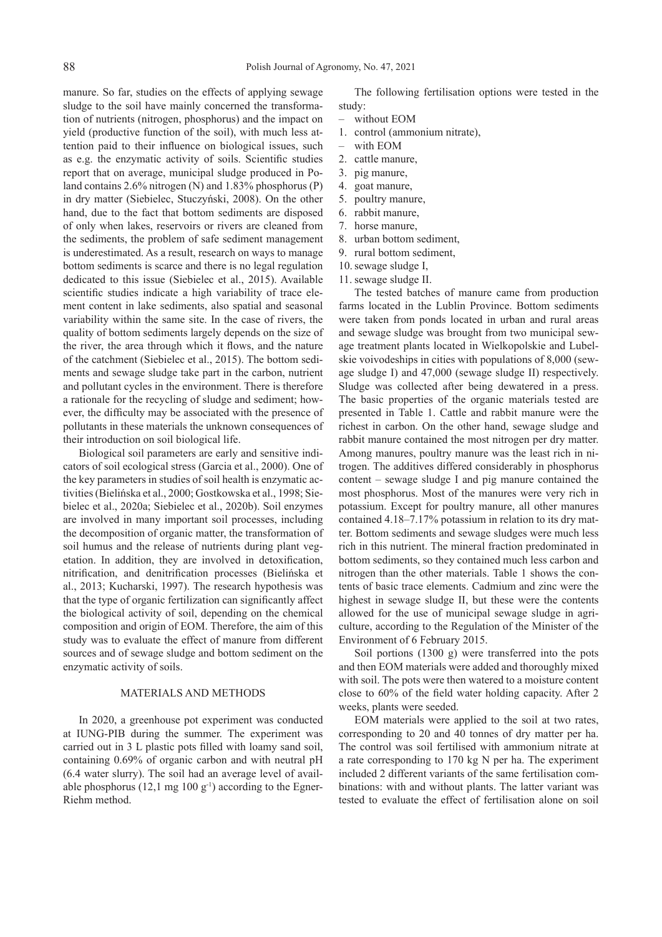manure. So far, studies on the effects of applying sewage sludge to the soil have mainly concerned the transformation of nutrients (nitrogen, phosphorus) and the impact on yield (productive function of the soil), with much less attention paid to their influence on biological issues, such as e.g. the enzymatic activity of soils. Scientific studies report that on average, municipal sludge produced in Poland contains 2.6% nitrogen (N) and 1.83% phosphorus (P) in dry matter (Siebielec, Stuczyński, 2008). On the other hand, due to the fact that bottom sediments are disposed of only when lakes, reservoirs or rivers are cleaned from the sediments, the problem of safe sediment management is underestimated. As a result, research on ways to manage bottom sediments is scarce and there is no legal regulation dedicated to this issue (Siebielec et al., 2015). Available scientific studies indicate a high variability of trace element content in lake sediments, also spatial and seasonal variability within the same site. In the case of rivers, the quality of bottom sediments largely depends on the size of the river, the area through which it flows, and the nature of the catchment (Siebielec et al., 2015). The bottom sediments and sewage sludge take part in the carbon, nutrient and pollutant cycles in the environment. There is therefore a rationale for the recycling of sludge and sediment; however, the difficulty may be associated with the presence of pollutants in these materials the unknown consequences of their introduction on soil biological life.

Biological soil parameters are early and sensitive indicators of soil ecological stress (Garcia et al., 2000). One of the key parameters in studies of soil health is enzymatic activities (Bielińska et al., 2000; Gostkowska et al., 1998; Siebielec et al., 2020a; Siebielec et al., 2020b). Soil enzymes are involved in many important soil processes, including the decomposition of organic matter, the transformation of soil humus and the release of nutrients during plant vegetation. In addition, they are involved in detoxification, nitrification, and denitrification processes (Bielińska et al., 2013; Kucharski, 1997). The research hypothesis was that the type of organic fertilization can significantly affect the biological activity of soil, depending on the chemical composition and origin of EOM. Therefore, the aim of this study was to evaluate the effect of manure from different sources and of sewage sludge and bottom sediment on the enzymatic activity of soils.

## MATERIALS AND METHODS

In 2020, a greenhouse pot experiment was conducted at IUNG-PIB during the summer. The experiment was carried out in 3 L plastic pots filled with loamy sand soil, containing 0.69% of organic carbon and with neutral pH (6.4 water slurry). The soil had an average level of available phosphorus (12.1 mg 100 g<sup>-1</sup>) according to the Egner-Riehm method.

The following fertilisation options were tested in the study:

- without EOM
- 1. control (ammonium nitrate),
- with EOM
- 2. cattle manure,
- 3. pig manure,
- 4. goat manure,
- 5. poultry manure,
- 6. rabbit manure,
- 7. horse manure,
- 8. urban bottom sediment,
- 9. rural bottom sediment,
- 10.sewage sludge I,
- 11. sewage sludge II.

The tested batches of manure came from production farms located in the Lublin Province. Bottom sediments were taken from ponds located in urban and rural areas and sewage sludge was brought from two municipal sewage treatment plants located in Wielkopolskie and Lubelskie voivodeships in cities with populations of 8,000 (sewage sludge I) and 47,000 (sewage sludge II) respectively. Sludge was collected after being dewatered in a press. The basic properties of the organic materials tested are presented in Table 1. Cattle and rabbit manure were the richest in carbon. On the other hand, sewage sludge and rabbit manure contained the most nitrogen per dry matter. Among manures, poultry manure was the least rich in nitrogen. The additives differed considerably in phosphorus content – sewage sludge I and pig manure contained the most phosphorus. Most of the manures were very rich in potassium. Except for poultry manure, all other manures contained 4.18–7.17% potassium in relation to its dry matter. Bottom sediments and sewage sludges were much less rich in this nutrient. The mineral fraction predominated in bottom sediments, so they contained much less carbon and nitrogen than the other materials. Table 1 shows the contents of basic trace elements. Cadmium and zinc were the highest in sewage sludge II, but these were the contents allowed for the use of municipal sewage sludge in agriculture, according to the Regulation of the Minister of the Environment of 6 February 2015.

Soil portions (1300 g) were transferred into the pots and then EOM materials were added and thoroughly mixed with soil. The pots were then watered to a moisture content close to 60% of the field water holding capacity. After 2 weeks, plants were seeded.

EOM materials were applied to the soil at two rates, corresponding to 20 and 40 tonnes of dry matter per ha. The control was soil fertilised with ammonium nitrate at a rate corresponding to 170 kg N per ha. The experiment included 2 different variants of the same fertilisation combinations: with and without plants. The latter variant was tested to evaluate the effect of fertilisation alone on soil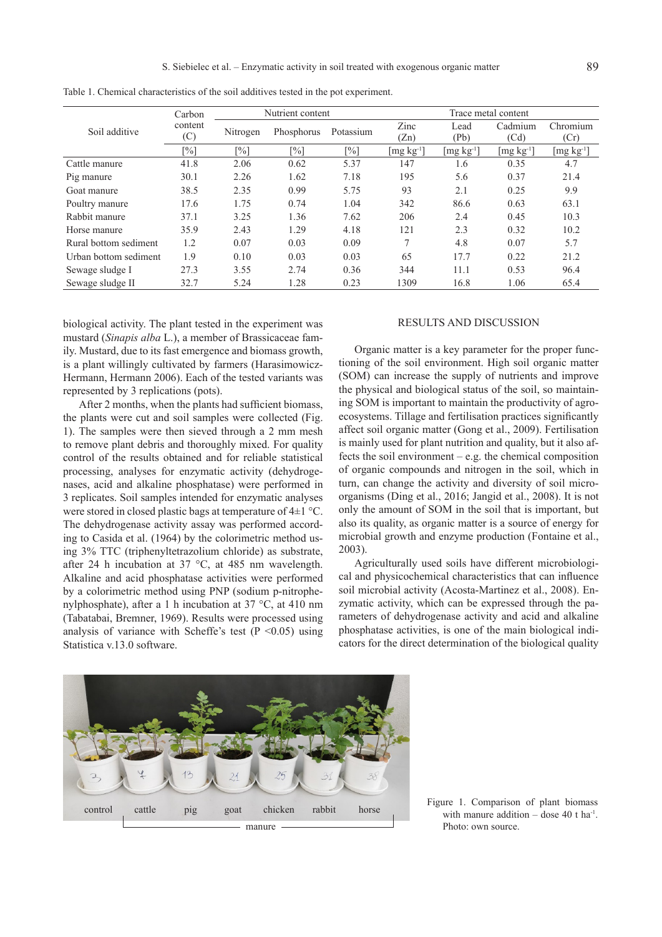|                       | Carbon         | Nutrient content  |                   | Trace metal content |                                             |              |                 |                                             |
|-----------------------|----------------|-------------------|-------------------|---------------------|---------------------------------------------|--------------|-----------------|---------------------------------------------|
| Soil additive         | content<br>(C) | Nitrogen          | Phosphorus        | Potassium           | Zinc<br>(Zn)                                | Lead<br>(Pb) | Cadmium<br>(Cd) | Chromium<br>(Cr)                            |
|                       | [%]            | $\lceil\% \rceil$ | $\lceil\% \rceil$ | $\lceil\% \rceil$   | $[\mathrm{mg\ kg^{\scriptscriptstyle -1}}]$ | $[mg kg-1]$  | $[mg kg-1]$     | $[\mathrm{mg\ kg^{\scriptscriptstyle -1}}]$ |
| Cattle manure         | 41.8           | 2.06              | 0.62              | 5.37                | 147                                         | 1.6          | 0.35            | 4.7                                         |
| Pig manure            | 30.1           | 2.26              | 1.62              | 7.18                | 195                                         | 5.6          | 0.37            | 21.4                                        |
| Goat manure           | 38.5           | 2.35              | 0.99              | 5.75                | 93                                          | 2.1          | 0.25            | 9.9                                         |
| Poultry manure        | 17.6           | 1.75              | 0.74              | 1.04                | 342                                         | 86.6         | 0.63            | 63.1                                        |
| Rabbit manure         | 37.1           | 3.25              | 1.36              | 7.62                | 206                                         | 2.4          | 0.45            | 10.3                                        |
| Horse manure          | 35.9           | 2.43              | 1.29              | 4.18                | 121                                         | 2.3          | 0.32            | 10.2                                        |
| Rural bottom sediment | 1.2            | 0.07              | 0.03              | 0.09                | 7                                           | 4.8          | 0.07            | 5.7                                         |
| Urban bottom sediment | 1.9            | 0.10              | 0.03              | 0.03                | 65                                          | 17.7         | 0.22            | 21.2                                        |
| Sewage sludge I       | 27.3           | 3.55              | 2.74              | 0.36                | 344                                         | 11.1         | 0.53            | 96.4                                        |
| Sewage sludge II      | 32.7           | 5.24              | 1.28              | 0.23                | 1309                                        | 16.8         | 1.06            | 65.4                                        |

Table 1. Chemical characteristics of the soil additives tested in the pot experiment.

biological activity. The plant tested in the experiment was mustard (*Sinapis alba* L.), a member of Brassicaceae family. Mustard, due to its fast emergence and biomass growth, is a plant willingly cultivated by farmers (Harasimowicz-Hermann, Hermann 2006). Each of the tested variants was represented by 3 replications (pots).

After 2 months, when the plants had sufficient biomass, the plants were cut and soil samples were collected (Fig. 1). The samples were then sieved through a 2 mm mesh to remove plant debris and thoroughly mixed. For quality control of the results obtained and for reliable statistical processing, analyses for enzymatic activity (dehydrogenases, acid and alkaline phosphatase) were performed in 3 replicates. Soil samples intended for enzymatic analyses were stored in closed plastic bags at temperature of 4±1 °C. The dehydrogenase activity assay was performed according to Casida et al. (1964) by the colorimetric method using 3% TTC (triphenyltetrazolium chloride) as substrate, after 24 h incubation at 37 °C, at 485 nm wavelength. Alkaline and acid phosphatase activities were performed by a colorimetric method using PNP (sodium p-nitrophenylphosphate), after a 1 h incubation at 37 °C, at 410 nm (Tabatabai, Bremner, 1969). Results were processed using analysis of variance with Scheffe's test ( $P \le 0.05$ ) using Statistica v.13.0 software.

## RESULTS AND DISCUSSION

Organic matter is a key parameter for the proper functioning of the soil environment. High soil organic matter (SOM) can increase the supply of nutrients and improve the physical and biological status of the soil, so maintaining SOM is important to maintain the productivity of agroecosystems. Tillage and fertilisation practices significantly affect soil organic matter (Gong et al., 2009). Fertilisation is mainly used for plant nutrition and quality, but it also affects the soil environment – e.g. the chemical composition of organic compounds and nitrogen in the soil, which in turn, can change the activity and diversity of soil microorganisms (Ding et al., 2016; Jangid et al., 2008). It is not only the amount of SOM in the soil that is important, but also its quality, as organic matter is a source of energy for microbial growth and enzyme production (Fontaine et al., 2003).

Agriculturally used soils have different microbiological and physicochemical characteristics that can influence soil microbial activity (Acosta-Martinez et al., 2008). Enzymatic activity, which can be expressed through the parameters of dehydrogenase activity and acid and alkaline phosphatase activities, is one of the main biological indicators for the direct determination of the biological quality



Figure 1. Comparison of plant biomass with manure addition – dose 40 t ha<sup>-1</sup>. Photo: own source.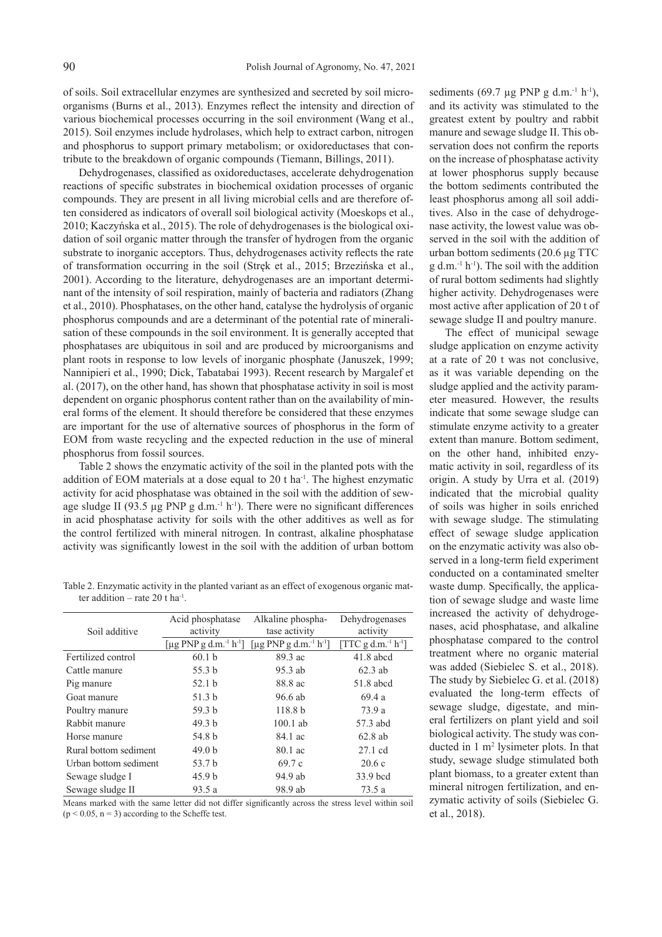of soils. Soil extracellular enzymes are synthesized and secreted by soil microorganisms (Burns et al., 2013). Enzymes reflect the intensity and direction of various biochemical processes occurring in the soil environment (Wang et al., 2015). Soil enzymes include hydrolases, which help to extract carbon, nitrogen and phosphorus to support primary metabolism; or oxidoreductases that contribute to the breakdown of organic compounds (Tiemann, Billings, 2011).

Dehydrogenases, classified as oxidoreductases, accelerate dehydrogenation reactions of specific substrates in biochemical oxidation processes of organic compounds. They are present in all living microbial cells and are therefore often considered as indicators of overall soil biological activity (Moeskops et al., 2010; Kaczyńska et al., 2015). The role of dehydrogenases is the biological oxidation of soil organic matter through the transfer of hydrogen from the organic substrate to inorganic acceptors. Thus, dehydrogenases activity reflects the rate of transformation occurring in the soil (Stręk et al., 2015; Brzezińska et al., 2001). According to the literature, dehydrogenases are an important determinant of the intensity of soil respiration, mainly of bacteria and radiators (Zhang et al., 2010). Phosphatases, on the other hand, catalyse the hydrolysis of organic phosphorus compounds and are a determinant of the potential rate of mineralisation of these compounds in the soil environment. It is generally accepted that phosphatases are ubiquitous in soil and are produced by microorganisms and plant roots in response to low levels of inorganic phosphate (Januszek, 1999; Nannipieri et al., 1990; Dick, Tabatabai 1993). Recent research by Margalef et al. (2017), on the other hand, has shown that phosphatase activity in soil is most dependent on organic phosphorus content rather than on the availability of mineral forms of the element. It should therefore be considered that these enzymes are important for the use of alternative sources of phosphorus in the form of EOM from waste recycling and the expected reduction in the use of mineral phosphorus from fossil sources.

Table 2 shows the enzymatic activity of the soil in the planted pots with the addition of EOM materials at a dose equal to 20 t ha-1. The highest enzymatic activity for acid phosphatase was obtained in the soil with the addition of sewage sludge II (93.5  $\mu$ g PNP g d.m.<sup>-1</sup> h<sup>-1</sup>). There were no significant differences in acid phosphatase activity for soils with the other additives as well as for the control fertilized with mineral nitrogen. In contrast, alkaline phosphatase activity was significantly lowest in the soil with the addition of urban bottom

Table 2. Enzymatic activity in the planted variant as an effect of exogenous organic matter addition – rate 20 t ha<sup>-1</sup>.

|                       | Acid phosphatase                               | Alkaline phospha-                              | Dehydrogenases                              |  |
|-----------------------|------------------------------------------------|------------------------------------------------|---------------------------------------------|--|
| Soil additive         | activity                                       | tase activity                                  | activity                                    |  |
|                       | [µg PNP g d.m. <sup>-1</sup> h <sup>-1</sup> ] | [µg PNP g d.m. <sup>-1</sup> h <sup>-1</sup> ] | [TTC g d.m. <sup>-1</sup> h <sup>-1</sup> ] |  |
| Fertilized control    | 60.1 <sub>b</sub>                              | 89.3 ac                                        | $41.8$ abcd                                 |  |
| Cattle manure         | 55.3 b                                         | 95.3 ab                                        | $62.3$ ab                                   |  |
| Pig manure            | 52.1 <sub>b</sub>                              | 88.8 ac                                        | 51.8 abcd                                   |  |
| Goat manure           | 51.3 b                                         | 96.6 ab                                        | 69.4a                                       |  |
| Poultry manure        | 59.3 <sub>b</sub>                              | 118.8 <sub>b</sub>                             | 73.9 a                                      |  |
| Rabbit manure         | 49.3 b                                         | $100.1$ ab                                     | 57.3 abd                                    |  |
| Horse manure          | 54.8 b                                         | 84.1 ac                                        | $62.8$ ab                                   |  |
| Rural bottom sediment | 49.0 <sub>b</sub>                              | 80.1 ac                                        | $27.1$ cd                                   |  |
| Urban bottom sediment | 53.7 b                                         | 69.7c                                          | 20.6c                                       |  |
| Sewage sludge I       | 45.9 <sub>b</sub>                              | 94.9 ab                                        | 33.9 bcd                                    |  |
| Sewage sludge II      | 93.5 a                                         | 98.9 ab                                        | 73.5 a                                      |  |

Means marked with the same letter did not differ significantly across the stress level within soil  $(p < 0.05, n = 3)$  according to the Scheffe test.

sediments (69.7  $\mu$ g PNP g d.m.<sup>-1</sup> h<sup>-1</sup>), and its activity was stimulated to the greatest extent by poultry and rabbit manure and sewage sludge II. This observation does not confirm the reports on the increase of phosphatase activity at lower phosphorus supply because the bottom sediments contributed the least phosphorus among all soil additives. Also in the case of dehydrogenase activity, the lowest value was observed in the soil with the addition of urban bottom sediments (20.6 µg TTC g d.m.-1 h-1). The soil with the addition of rural bottom sediments had slightly higher activity. Dehydrogenases were most active after application of 20 t of sewage sludge II and poultry manure.

The effect of municipal sewage sludge application on enzyme activity at a rate of 20 t was not conclusive, as it was variable depending on the sludge applied and the activity parameter measured. However, the results indicate that some sewage sludge can stimulate enzyme activity to a greater extent than manure. Bottom sediment, on the other hand, inhibited enzymatic activity in soil, regardless of its origin. A study by Urra et al. (2019) indicated that the microbial quality of soils was higher in soils enriched with sewage sludge. The stimulating effect of sewage sludge application on the enzymatic activity was also observed in a long-term field experiment conducted on a contaminated smelter waste dump. Specifically, the application of sewage sludge and waste lime increased the activity of dehydrogenases, acid phosphatase, and alkaline phosphatase compared to the control treatment where no organic material was added (Siebielec S. et al., 2018). The study by Siebielec G. et al. (2018) evaluated the long-term effects of sewage sludge, digestate, and mineral fertilizers on plant yield and soil biological activity. The study was conducted in 1 m2 lysimeter plots. In that study, sewage sludge stimulated both plant biomass, to a greater extent than mineral nitrogen fertilization, and enzymatic activity of soils (Siebielec G. et al., 2018).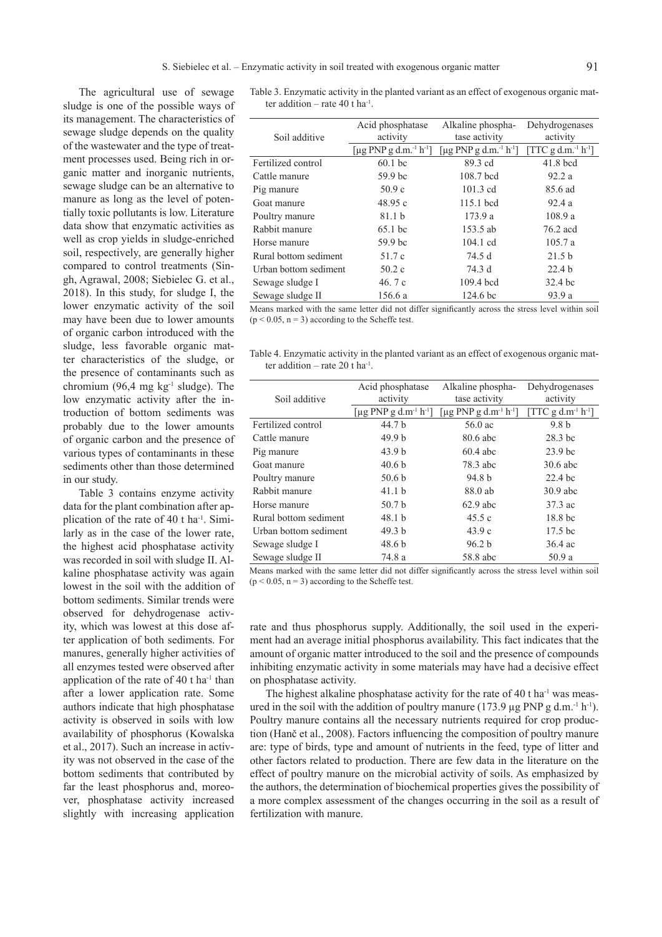$\overline{\phantom{a}}$ 

The agricultural use of sewage sludge is one of the possible ways of its management. The characteristics of sewage sludge depends on the quality of the wastewater and the type of treatment processes used. Being rich in organic matter and inorganic nutrients, sewage sludge can be an alternative to manure as long as the level of potentially toxic pollutants is low. Literature data show that enzymatic activities as well as crop yields in sludge-enriched soil, respectively, are generally higher compared to control treatments (Singh, Agrawal, 2008; Siebielec G. et al., 2018). In this study, for sludge I, the lower enzymatic activity of the soil may have been due to lower amounts of organic carbon introduced with the sludge, less favorable organic matter characteristics of the sludge, or the presence of contaminants such as chromium (96,4 mg kg $^{-1}$  sludge). The low enzymatic activity after the introduction of bottom sediments was probably due to the lower amounts of organic carbon and the presence of various types of contaminants in these sediments other than those determined in our study.

Table 3 contains enzyme activity data for the plant combination after application of the rate of 40 t ha-1. Similarly as in the case of the lower rate, the highest acid phosphatase activity was recorded in soil with sludge II. Alkaline phosphatase activity was again lowest in the soil with the addition of bottom sediments. Similar trends were observed for dehydrogenase activity, which was lowest at this dose after application of both sediments. For manures, generally higher activities of all enzymes tested were observed after application of the rate of 40 t ha<sup>-1</sup> than after a lower application rate. Some authors indicate that high phosphatase activity is observed in soils with low availability of phosphorus (Kowalska et al., 2017). Such an increase in activity was not observed in the case of the bottom sediments that contributed by far the least phosphorus and, moreover, phosphatase activity increased slightly with increasing application

Table 3. Enzymatic activity in the planted variant as an effect of exogenous organic matter addition – rate 40 t ha $^{-1}$ .

| Soil additive                                                                                                                                                                                                                     | Acid phosphatase<br>activity                         | Alkaline phospha-<br>tase activity                   | Dehydrogenases<br>activity                  |  |
|-----------------------------------------------------------------------------------------------------------------------------------------------------------------------------------------------------------------------------------|------------------------------------------------------|------------------------------------------------------|---------------------------------------------|--|
|                                                                                                                                                                                                                                   |                                                      |                                                      |                                             |  |
|                                                                                                                                                                                                                                   | [ $\mu$ g PNP g d.m. <sup>-1</sup> h <sup>-1</sup> ] | [ $\mu$ g PNP g d.m. <sup>-1</sup> h <sup>-1</sup> ] | [TTC g d.m. <sup>-1</sup> h <sup>-1</sup> ] |  |
| Fertilized control                                                                                                                                                                                                                | $60.1$ bc                                            | 89.3 cd                                              | $41.8$ bcd                                  |  |
| Cattle manure                                                                                                                                                                                                                     | 59.9 bc                                              | 108.7 bcd                                            | 92.2a                                       |  |
| Pig manure                                                                                                                                                                                                                        | 50.9c                                                | $101.3$ cd                                           | 85.6 ad                                     |  |
| Goat manure                                                                                                                                                                                                                       | 48.95c                                               | $115.1$ bcd                                          | 92.4a                                       |  |
| Poultry manure                                                                                                                                                                                                                    | 81.1 <sub>b</sub>                                    | 173.9a                                               | 108.9a                                      |  |
| Rabbit manure                                                                                                                                                                                                                     | 65.1 bc                                              | 153.5 ab                                             | 76.2 acd                                    |  |
| Horse manure                                                                                                                                                                                                                      | 59.9 bc                                              | $104.1$ cd                                           | 105.7a                                      |  |
| Rural bottom sediment                                                                                                                                                                                                             | 51.7 c                                               | 74.5 d                                               | 21.5 <sub>b</sub>                           |  |
| Urban bottom sediment                                                                                                                                                                                                             | 50.2c                                                | 74.3 d                                               | 22.4 <sub>b</sub>                           |  |
| Sewage sludge I                                                                                                                                                                                                                   | 46.7 c                                               | $109.4$ bcd                                          | 32.4 bc                                     |  |
| Sewage sludge II                                                                                                                                                                                                                  | 156.6a                                               | 124.6 <sub>bc</sub>                                  | 93.9 a                                      |  |
| $\mathcal{A}$ and the contract of the contract of the contract of the contract of the contract of the contract of the contract of the contract of the contract of the contract of the contract of the contract of the contract of |                                                      |                                                      |                                             |  |

Means marked with the same letter did not differ significantly across the stress level within soil  $(p < 0.05, n = 3)$  according to the Scheffe test.

Table 4. Enzymatic activity in the planted variant as an effect of exogenous organic matter addition – rate  $20 + ha^{-1}$ .

|                       | Acid phosphatase                              | Alkaline phospha-                             | Dehydrogenases      |  |
|-----------------------|-----------------------------------------------|-----------------------------------------------|---------------------|--|
| Soil additive         | activity                                      | tase activity                                 | activity            |  |
|                       | [µg PNP g d.m <sup>-1</sup> h <sup>-1</sup> ] | [µg PNP g d.m <sup>-1</sup> h <sup>-1</sup> ] | $[TTC g d.m-1 h-1]$ |  |
| Fertilized control    | 44.7 b                                        | 56.0 ac                                       | 9.8 <sub>b</sub>    |  |
| Cattle manure         | 49.9 <sub>b</sub>                             | 80.6 abc                                      | 28.3 bc             |  |
| Pig manure            | 43.9 <sub>b</sub>                             | $60.4$ abc                                    | 23.9 <sub>bc</sub>  |  |
| Goat manure           | 40.6 <sub>b</sub>                             | 78.3 abc                                      | $30.6$ abc          |  |
| Poultry manure        | 50.6 <sub>b</sub>                             | 94.8 b                                        | $22.4$ bc           |  |
| Rabbit manure         | 41.1 <sub>b</sub>                             | 88.0 ab                                       | $30.9$ abc          |  |
| Horse manure          | 50.7 <sub>b</sub>                             | $62.9$ abc                                    | 37.3 ac             |  |
| Rural bottom sediment | 48.1 <sub>b</sub>                             | 45.5c                                         | 18.8 bc             |  |
| Urban bottom sediment | 49.3 <sub>b</sub>                             | 43.9c                                         | 17.5 bc             |  |
| Sewage sludge I       | 48.6 b                                        | 96.2 b                                        | $36.4$ ac           |  |
| Sewage sludge II      | 74.8 a                                        | 58.8 abc                                      | 50.9 a              |  |

Means marked with the same letter did not differ significantly across the stress level within soil  $(p < 0.05, n = 3)$  according to the Scheffe test.

rate and thus phosphorus supply. Additionally, the soil used in the experiment had an average initial phosphorus availability. This fact indicates that the amount of organic matter introduced to the soil and the presence of compounds inhibiting enzymatic activity in some materials may have had a decisive effect on phosphatase activity.

The highest alkaline phosphatase activity for the rate of 40 t ha $^{-1}$  was measured in the soil with the addition of poultry manure (173.9  $\mu$ g PNP g d.m.<sup>-1</sup> h<sup>-1</sup>). Poultry manure contains all the necessary nutrients required for crop production (Hanč et al., 2008). Factors influencing the composition of poultry manure are: type of birds, type and amount of nutrients in the feed, type of litter and other factors related to production. There are few data in the literature on the effect of poultry manure on the microbial activity of soils. As emphasized by the authors, the determination of biochemical properties gives the possibility of a more complex assessment of the changes occurring in the soil as a result of fertilization with manure.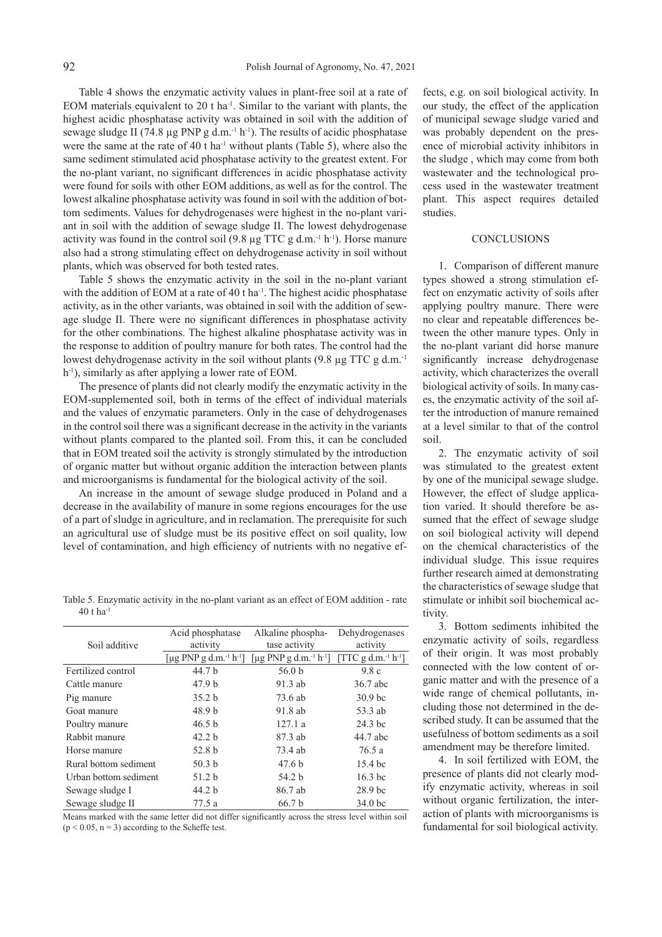Table 4 shows the enzymatic activity values in plant-free soil at a rate of EOM materials equivalent to 20 t ha<sup>-1</sup>. Similar to the variant with plants, the highest acidic phosphatase activity was obtained in soil with the addition of sewage sludge II (74.8  $\mu$ g PNP g d.m.<sup>-1</sup> h<sup>-1</sup>). The results of acidic phosphatase were the same at the rate of 40 t ha<sup>-1</sup> without plants (Table 5), where also the same sediment stimulated acid phosphatase activity to the greatest extent. For the no-plant variant, no significant differences in acidic phosphatase activity were found for soils with other EOM additions, as well as for the control. The lowest alkaline phosphatase activity was found in soil with the addition of bottom sediments. Values for dehydrogenases were highest in the no-plant variant in soil with the addition of sewage sludge II. The lowest dehydrogenase activity was found in the control soil  $(9.8 \mu g TTC g d.m.^1 h^{-1})$ . Horse manure also had a strong stimulating effect on dehydrogenase activity in soil without plants, which was observed for both tested rates.

Table 5 shows the enzymatic activity in the soil in the no-plant variant with the addition of EOM at a rate of 40 t ha<sup>-1</sup>. The highest acidic phosphatase activity, as in the other variants, was obtained in soil with the addition of sewage sludge II. There were no significant differences in phosphatase activity for the other combinations. The highest alkaline phosphatase activity was in the response to addition of poultry manure for both rates. The control had the lowest dehydrogenase activity in the soil without plants (9.8 µg TTC g d.m.<sup>-1</sup> h<sup>-1</sup>), similarly as after applying a lower rate of EOM.

The presence of plants did not clearly modify the enzymatic activity in the EOM-supplemented soil, both in terms of the effect of individual materials and the values of enzymatic parameters. Only in the case of dehydrogenases in the control soil there was a significant decrease in the activity in the variants without plants compared to the planted soil. From this, it can be concluded that in EOM treated soil the activity is strongly stimulated by the introduction of organic matter but without organic addition the interaction between plants and microorganisms is fundamental for the biological activity of the soil.

An increase in the amount of sewage sludge produced in Poland and a decrease in the availability of manure in some regions encourages for the use of a part of sludge in agriculture, and in reclamation. The prerequisite for such an agricultural use of sludge must be its positive effect on soil quality, low level of contamination, and high efficiency of nutrients with no negative ef-

Table 5. Enzymatic activity in the no-plant variant as an effect of EOM addition - rate 40 t ha-1

|                       | Acid phosphatase                               | Alkaline phospha-                              | Dehydrogenases                              |  |
|-----------------------|------------------------------------------------|------------------------------------------------|---------------------------------------------|--|
| Soil additive         | activity                                       | tase activity                                  | activity                                    |  |
|                       | [µg PNP g d.m. <sup>-1</sup> h <sup>-1</sup> ] | [µg PNP g d.m. <sup>-1</sup> h <sup>-1</sup> ] | [TTC g d.m. <sup>-1</sup> h <sup>-1</sup> ] |  |
| Fertilized control    | 44.7 b                                         | 56.0 <sub>b</sub>                              | 9.8c                                        |  |
| Cattle manure         | 47.9 <sub>b</sub>                              | $91.3$ ab                                      | 36.7 abc                                    |  |
| Pig manure            | 35.2 <sub>b</sub>                              | 73.6 ab                                        | 30.9 <sub>bc</sub>                          |  |
| Goat manure           | 48.9 <sub>b</sub>                              | 91.8 ab                                        | 53.3 ab                                     |  |
| Poultry manure        | 46.5 b                                         | 127.1a                                         | 24.3 bc                                     |  |
| Rabbit manure         | 42.2 <sub>b</sub>                              | 87.3 ab                                        | 44.7 abc                                    |  |
| Horse manure          | 52.8 b                                         | 73.4 ab                                        | 76.5 a                                      |  |
| Rural bottom sediment | 50.3 <sub>b</sub>                              | 47.6 <sub>b</sub>                              | 15.4 bc                                     |  |
| Urban bottom sediment | 51.2 b                                         | 54.2 b                                         | $16.3$ bc                                   |  |
| Sewage sludge I       | 44.2 <sub>b</sub>                              | 86.7 ab                                        | 28.9 bc                                     |  |
| Sewage sludge II      | 77.5 a                                         | 66.7 <sub>b</sub>                              | 34.0 <sub>bc</sub>                          |  |

Means marked with the same letter did not differ significantly across the stress level within soil  $(p < 0.05, n = 3)$  according to the Scheffe test.

fects, e.g. on soil biological activity. In our study, the effect of the application of municipal sewage sludge varied and was probably dependent on the presence of microbial activity inhibitors in the sludge , which may come from both wastewater and the technological process used in the wastewater treatment plant. This aspect requires detailed studies.

## **CONCLUSIONS**

1. Comparison of different manure types showed a strong stimulation effect on enzymatic activity of soils after applying poultry manure. There were no clear and repeatable differences between the other manure types. Only in the no-plant variant did horse manure significantly increase dehydrogenase activity, which characterizes the overall biological activity of soils. In many cases, the enzymatic activity of the soil after the introduction of manure remained at a level similar to that of the control soil.

2. The enzymatic activity of soil was stimulated to the greatest extent by one of the municipal sewage sludge. However, the effect of sludge application varied. It should therefore be assumed that the effect of sewage sludge on soil biological activity will depend on the chemical characteristics of the individual sludge. This issue requires further research aimed at demonstrating the characteristics of sewage sludge that stimulate or inhibit soil biochemical activity.

3. Bottom sediments inhibited the enzymatic activity of soils, regardless of their origin. It was most probably connected with the low content of organic matter and with the presence of a wide range of chemical pollutants, including those not determined in the described study. It can be assumed that the usefulness of bottom sediments as a soil amendment may be therefore limited.

4. In soil fertilized with EOM, the presence of plants did not clearly modify enzymatic activity, whereas in soil without organic fertilization, the interaction of plants with microorganisms is fundamental for soil biological activity.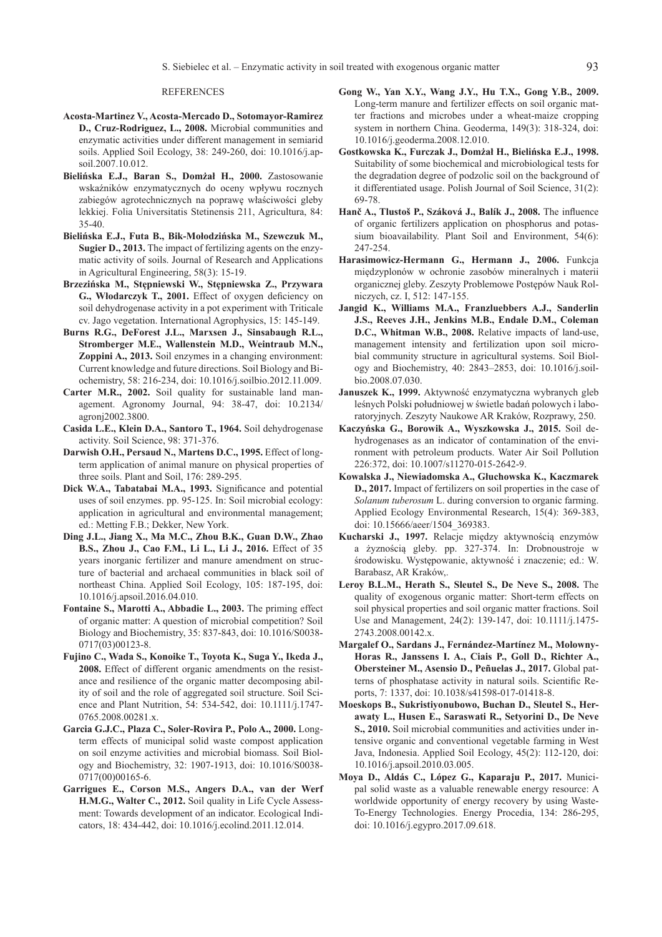#### REFERENCES

- **Acosta-Martinez V., Acosta-Mercado D., Sotomayor-Ramirez D., Cruz-Rodriguez, L., 2008.** Microbial communities and enzymatic activities under different management in semiarid soils. Applied Soil Ecology, 38: 249-260, doi: 10.1016/j.apsoil.2007.10.012.
- **Bielińska E.J., Baran S., Domżał H., 2000.** Zastosowanie wskaźników enzymatycznych do oceny wpływu rocznych zabiegów agrotechnicznych na poprawę właściwości gleby lekkiej. Folia Universitatis Stetinensis 211, Agricultura, 84: 35-40.
- **Bielińska E.J., Futa B., Bik-Mołodzińska M., Szewczuk M., Sugier D., 2013.** The impact of fertilizing agents on the enzymatic activity of soils. Journal of Research and Applications in Agricultural Engineering, 58(3): 15-19.
- **Brzezińska M., Stępniewski W., Stępniewska Z., Przywara G., Włodarczyk T., 2001.** Effect of oxygen deficiency on soil dehydrogenase activity in a pot experiment with Triticale cv. Jago vegetation. International Agrophysics, 15: 145-149.
- **Burns R.G., DeForest J.L., Marxsen J., Sinsabaugh R.L., Stromberger M.E., Wallenstein M.D., Weintraub M.N., Zoppini A., 2013.** Soil enzymes in a changing environment: Current knowledge and future directions. Soil Biology and Biochemistry, 58: 216-234, doi: 10.1016/j.soilbio.2012.11.009.
- **Carter M.R., 2002.** Soil quality for sustainable land management. Agronomy Journal, 94: 38-47, doi: 10.2134/ agronj2002.3800.
- **Casida L.E., Klein D.A., Santoro T., 1964.** Soil dehydrogenase activity. Soil Science, 98: 371-376.
- **Darwish O.H., Persaud N., Martens D.C., 1995.** Effect of longterm application of animal manure on physical properties of three soils. Plant and Soil, 176: 289-295.
- **Dick W.A., Tabatabai M.A., 1993.** Significance and potential uses of soil enzymes. pp. 95-125. In: Soil microbial ecology: application in agricultural and environmental management; ed.: Metting F.B.; Dekker, New York.
- **Ding J.L., Jiang X., Ma M.C., Zhou B.K., Guan D.W., Zhao B.S., Zhou J., Cao F.M., Li L., Li J., 2016.** Effect of 35 years inorganic fertilizer and manure amendment on structure of bacterial and archaeal communities in black soil of northeast China. Applied Soil Ecology, 105: 187-195, doi: 10.1016/j.apsoil.2016.04.010.
- **Fontaine S., Marotti A., Abbadie L., 2003.** The priming effect of organic matter: A question of microbial competition? Soil Biology and Biochemistry, 35: 837-843, doi: 10.1016/S0038- 0717(03)00123-8.
- **Fujino C., Wada S., Konoike T., Toyota K., Suga Y., Ikeda J., 2008.** Effect of different organic amendments on the resistance and resilience of the organic matter decomposing ability of soil and the role of aggregated soil structure. Soil Science and Plant Nutrition, 54: 534-542, doi: 10.1111/j.1747- 0765.2008.00281.x.
- **Garcia G.J.C., Plaza C., Soler-Rovira P., Polo A., 2000.** Longterm effects of municipal solid waste compost application on soil enzyme activities and microbial biomass. Soil Biology and Biochemistry, 32: 1907-1913, doi: 10.1016/S0038- 0717(00)00165-6.
- **Garrigues E., Corson M.S., Angers D.A., van der Werf H.M.G., Walter C., 2012.** Soil quality in Life Cycle Assessment: Towards development of an indicator. Ecological Indicators, 18: 434-442, doi: 10.1016/j.ecolind.2011.12.014.
- **Gong W., Yan X.Y., Wang J.Y., Hu T.X., Gong Y.B., 2009.**  Long-term manure and fertilizer effects on soil organic matter fractions and microbes under a wheat-maize cropping system in northern China. Geoderma, 149(3): 318-324, doi: 10.1016/j.geoderma.2008.12.010.
- **Gostkowska K., Furczak J., Domżał H., Bielińska E.J., 1998.**  Suitability of some biochemical and microbiological tests for the degradation degree of podzolic soil on the background of it differentiated usage. Polish Journal of Soil Science, 31(2): 69-78.
- **Hanč A., Tlustoš P., Száková J., Balík J., 2008.** The influence of organic fertilizers application on phosphorus and potassium bioavailability. Plant Soil and Environment, 54(6): 247-254.
- **Harasimowicz-Hermann G., Hermann J., 2006.** Funkcja międzyplonów w ochronie zasobów mineralnych i materii organicznej gleby. Zeszyty Problemowe Postępów Nauk Rolniczych, cz. I, 512: 147-155.
- **Jangid K., Williams M.A., Franzluebbers A.J., Sanderlin J.S., Reeves J.H., Jenkins M.B., Endale D.M., Coleman D.C., Whitman W.B., 2008.** Relative impacts of land-use, management intensity and fertilization upon soil microbial community structure in agricultural systems. Soil Biology and Biochemistry, 40: 2843–2853, doi: 10.1016/j.soilbio.2008.07.030.
- **Januszek K., 1999.** Aktywność enzymatyczna wybranych gleb leśnych Polski południowej w świetle badań polowych i laboratoryjnych. Zeszyty Naukowe AR Kraków, Rozprawy, 250.
- **Kaczyńska G., Borowik A., Wyszkowska J., 2015.** Soil dehydrogenases as an indicator of contamination of the environment with petroleum products. Water Air Soil Pollution 226:372, doi: 10.1007/s11270-015-2642-9.
- **Kowalska J., Niewiadomska A., Głuchowska K., Kaczmarek D., 2017.** Impact of fertilizers on soil properties in the case of *Solanum tuberosum* L. during conversion to organic farming. Applied Ecology Environmental Research, 15(4): 369-383, doi: 10.15666/aeer/1504\_369383.
- **Kucharski J., 1997.** Relacje między aktywnością enzymów a żyznością gleby. pp. 327-374. In: Drobnoustroje w środowisku. Występowanie, aktywność i znaczenie; ed.: W. Barabasz, AR Kraków,.
- **Leroy B.L.M., Herath S., Sleutel S., De Neve S., 2008.** The quality of exogenous organic matter: Short-term effects on soil physical properties and soil organic matter fractions. Soil Use and Management, 24(2): 139-147, doi: 10.1111/j.1475- 2743.2008.00142.x.
- **Margalef O., Sardans J., Fernández-Martínez M., Molowny-Horas R., Janssens I. A., Ciais P., Goll D., Richter A., Obersteiner M., Asensio D., Peñuelas J., 2017.** Global patterns of phosphatase activity in natural soils. Scientific Reports, 7: 1337, doi: 10.1038/s41598-017-01418-8.
- **Moeskops B., Sukristiyonubowo, Buchan D., Sleutel S., Herawaty L., Husen E., Saraswati R., Setyorini D., De Neve S., 2010.** Soil microbial communities and activities under intensive organic and conventional vegetable farming in West Java, Indonesia. Applied Soil Ecology, 45(2): 112-120, doi: 10.1016/j.apsoil.2010.03.005.
- **Moya D., Aldás C., López G., Kaparaju P., 2017.** Municipal solid waste as a valuable renewable energy resource: A worldwide opportunity of energy recovery by using Waste-To-Energy Technologies. Energy Procedia, 134: 286-295, doi: 10.1016/j.egypro.2017.09.618.